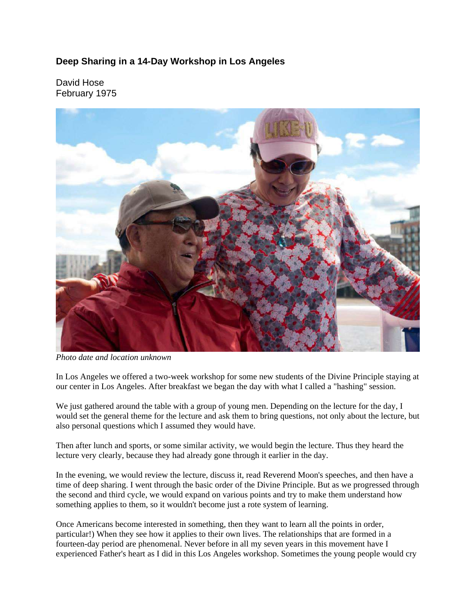## **Deep Sharing in a 14-Day Workshop in Los Angeles**

David Hose February 1975



*Photo date and location unknown*

In Los Angeles we offered a two-week workshop for some new students of the Divine Principle staying at our center in Los Angeles. After breakfast we began the day with what I called a "hashing" session.

We just gathered around the table with a group of young men. Depending on the lecture for the day, I would set the general theme for the lecture and ask them to bring questions, not only about the lecture, but also personal questions which I assumed they would have.

Then after lunch and sports, or some similar activity, we would begin the lecture. Thus they heard the lecture very clearly, because they had already gone through it earlier in the day.

In the evening, we would review the lecture, discuss it, read Reverend Moon's speeches, and then have a time of deep sharing. I went through the basic order of the Divine Principle. But as we progressed through the second and third cycle, we would expand on various points and try to make them understand how something applies to them, so it wouldn't become just a rote system of learning.

Once Americans become interested in something, then they want to learn all the points in order, particular!) When they see how it applies to their own lives. The relationships that are formed in a fourteen-day period are phenomenal. Never before in all my seven years in this movement have I experienced Father's heart as I did in this Los Angeles workshop. Sometimes the young people would cry